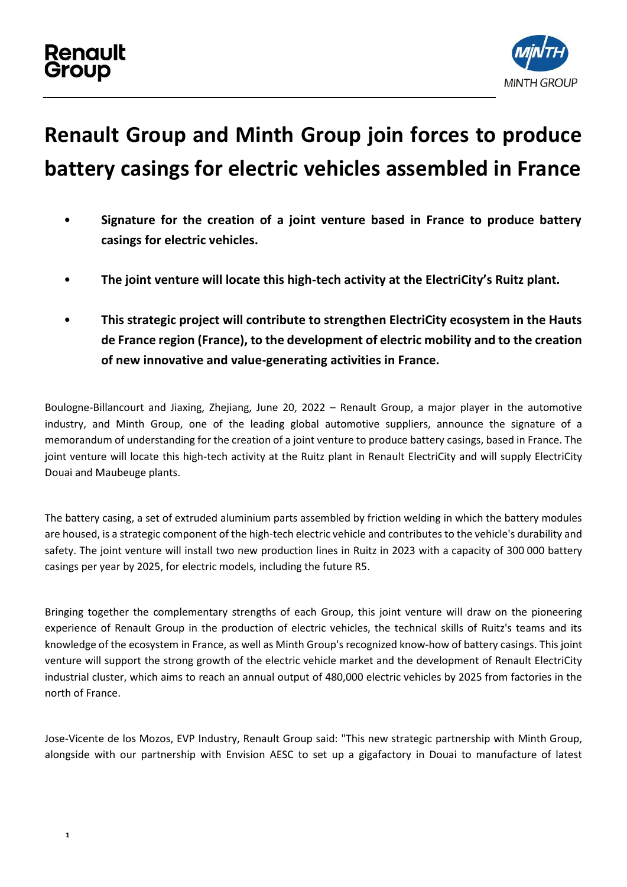## **Renault** Group



## **Renault Group and Minth Group join forces to produce battery casings for electric vehicles assembled in France**

- **Signature for the creation of a joint venture based in France to produce battery casings for electric vehicles.**
- **The joint venture will locate this high-tech activity at the ElectriCity's Ruitz plant.**
- **This strategic project will contribute to strengthen ElectriCity ecosystem in the Hauts de France region (France), to the development of electric mobility and to the creation of new innovative and value-generating activities in France.**

Boulogne-Billancourt and Jiaxing, Zhejiang, June 20, 2022 – Renault Group, a major player in the automotive industry, and Minth Group, one of the leading global automotive suppliers, announce the signature of a memorandum of understanding for the creation of a joint venture to produce battery casings, based in France. The joint venture will locate this high-tech activity at the Ruitz plant in Renault ElectriCity and will supply ElectriCity Douai and Maubeuge plants.

The battery casing, a set of extruded aluminium parts assembled by friction welding in which the battery modules are housed, is a strategic component of the high-tech electric vehicle and contributes to the vehicle's durability and safety. The joint venture will install two new production lines in Ruitz in 2023 with a capacity of 300 000 battery casings per year by 2025, for electric models, including the future R5.

Bringing together the complementary strengths of each Group, this joint venture will draw on the pioneering experience of Renault Group in the production of electric vehicles, the technical skills of Ruitz's teams and its knowledge of the ecosystem in France, as well as Minth Group's recognized know-how of battery casings. This joint venture will support the strong growth of the electric vehicle market and the development of Renault ElectriCity industrial cluster, which aims to reach an annual output of 480,000 electric vehicles by 2025 from factories in the north of France.

Jose-Vicente de los Mozos, EVP Industry, Renault Group said: "This new strategic partnership with Minth Group, alongside with our partnership with Envision AESC to set up a gigafactory in Douai to manufacture of latest